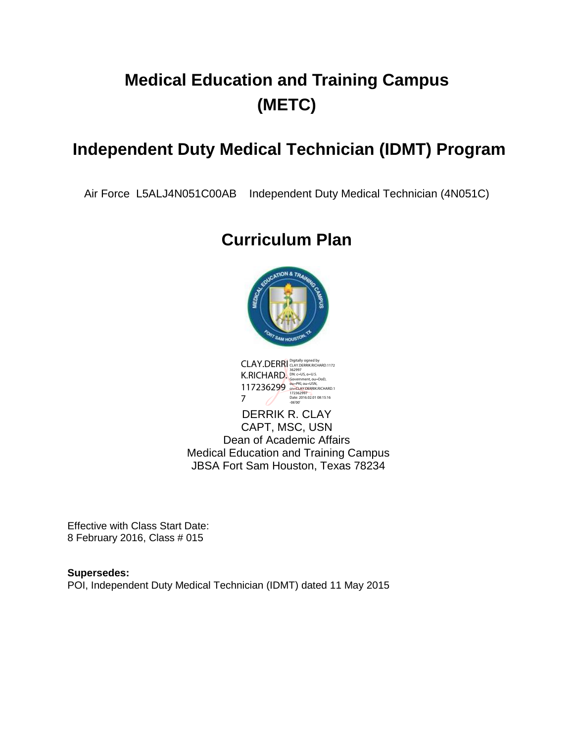# **Medical Education and Training Campus (METC)**

## **Independent Duty Medical Technician (IDMT) Program**

Air Force L5ALJ4N051C00AB Independent Duty Medical Technician (4N051C)

## **Curriculum Plan**





DERRIK R. CLAY CAPT, MSC, USN Dean of Academic Affairs Medical Education and Training Campus JBSA Fort Sam Houston, Texas 78234

Effective with Class Start Date: 8 February 2016, Class # 015

**Supersedes:**  POI, Independent Duty Medical Technician (IDMT) dated 11 May 2015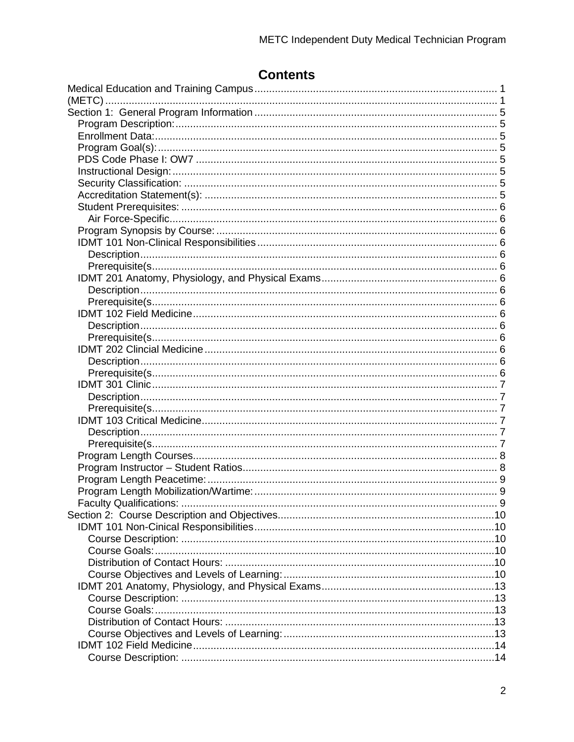| Faculty Qualifications: |  |
|-------------------------|--|
|                         |  |
|                         |  |
|                         |  |
|                         |  |
|                         |  |
|                         |  |
|                         |  |
|                         |  |
|                         |  |
|                         |  |
|                         |  |
|                         |  |
|                         |  |
|                         |  |

## **Contents**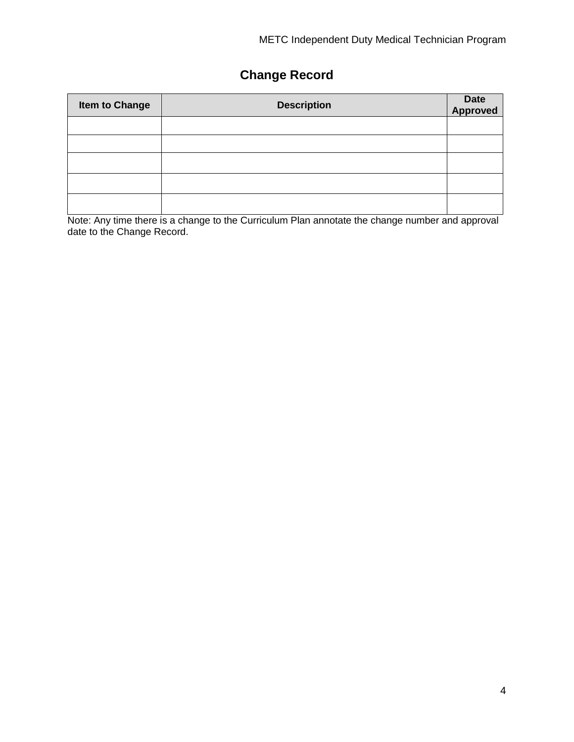## **Change Record**

| <b>Item to Change</b> | <b>Description</b> | Date<br>Approved |
|-----------------------|--------------------|------------------|
|                       |                    |                  |
|                       |                    |                  |
|                       |                    |                  |
|                       |                    |                  |
|                       |                    |                  |

Note: Any time there is a change to the Curriculum Plan annotate the change number and approval date to the Change Record.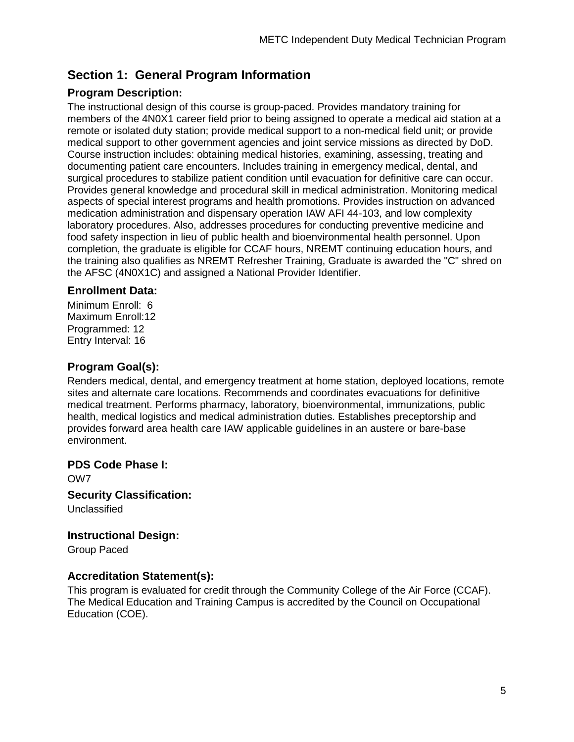## **Section 1: General Program Information**

## **Program Description:**

The instructional design of this course is group-paced. Provides mandatory training for members of the 4N0X1 career field prior to being assigned to operate a medical aid station at a remote or isolated duty station; provide medical support to a non-medical field unit; or provide medical support to other government agencies and joint service missions as directed by DoD. Course instruction includes: obtaining medical histories, examining, assessing, treating and documenting patient care encounters. Includes training in emergency medical, dental, and surgical procedures to stabilize patient condition until evacuation for definitive care can occur. Provides general knowledge and procedural skill in medical administration. Monitoring medical aspects of special interest programs and health promotions. Provides instruction on advanced medication administration and dispensary operation IAW AFI 44-103, and low complexity laboratory procedures. Also, addresses procedures for conducting preventive medicine and food safety inspection in lieu of public health and bioenvironmental health personnel. Upon completion, the graduate is eligible for CCAF hours, NREMT continuing education hours, and the training also qualifies as NREMT Refresher Training, Graduate is awarded the "C" shred on the AFSC (4N0X1C) and assigned a National Provider Identifier.

### **Enrollment Data:**

Minimum Enroll: 6 Maximum Enroll:12 Programmed: 12 Entry Interval: 16

## **Program Goal(s):**

Renders medical, dental, and emergency treatment at home station, deployed locations, remote sites and alternate care locations. Recommends and coordinates evacuations for definitive medical treatment. Performs pharmacy, laboratory, bioenvironmental, immunizations, public health, medical logistics and medical administration duties. Establishes preceptorship and provides forward area health care IAW applicable guidelines in an austere or bare-base environment.

#### **PDS Code Phase I:**

OW7

**Security Classification:** Unclassified

## **Instructional Design:**

Group Paced

## **Accreditation Statement(s):**

This program is evaluated for credit through the Community College of the Air Force (CCAF). The Medical Education and Training Campus is accredited by the Council on Occupational Education (COE).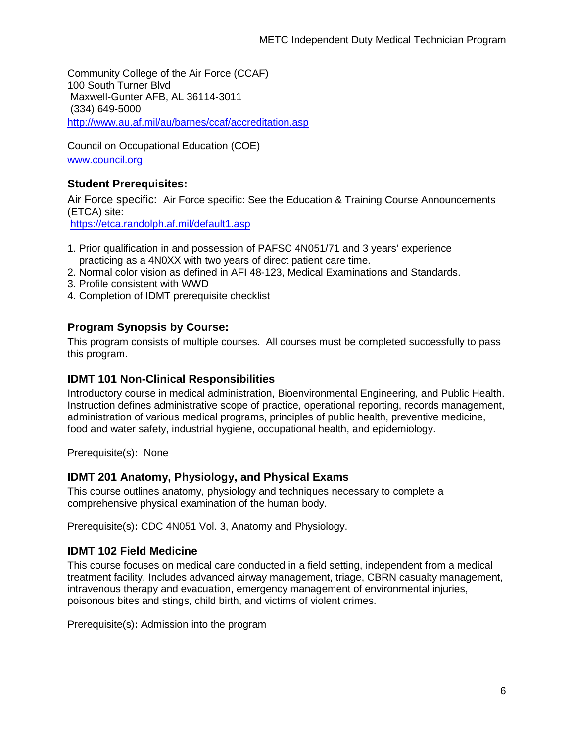Community College of the Air Force (CCAF) 100 South Turner Blvd Maxwell-Gunter AFB, AL 36114-3011 (334) 649-5000 <http://www.au.af.mil/au/barnes/ccaf/accreditation.asp>

Council on Occupational Education (COE) www.council.org

### **Student Prerequisites:**

Air Force specific: Air Force specific: See the Education & Training Course Announcements (ETCA) site:

https://etca.randolph.af.mil/default1.asp

- 1. Prior qualification in and possession of PAFSC 4N051/71 and 3 years' experience practicing as a 4N0XX with two years of direct patient care time.
- 2. Normal color vision as defined in AFI 48-123, Medical Examinations and Standards.
- 3. Profile consistent with WWD
- 4. Completion of IDMT prerequisite checklist

### **Program Synopsis by Course:**

This program consists of multiple courses. All courses must be completed successfully to pass this program.

#### **IDMT 101 Non-Clinical Responsibilities**

Introductory course in medical administration, Bioenvironmental Engineering, and Public Health. Instruction defines administrative scope of practice, operational reporting, records management, administration of various medical programs, principles of public health, preventive medicine, food and water safety, industrial hygiene, occupational health, and epidemiology.

Prerequisite(s)**:** None

#### **IDMT 201 Anatomy, Physiology, and Physical Exams**

This course outlines anatomy, physiology and techniques necessary to complete a comprehensive physical examination of the human body.

Prerequisite(s)**:** CDC 4N051 Vol. 3, Anatomy and Physiology.

## **IDMT 102 Field Medicine**

This course focuses on medical care conducted in a field setting, independent from a medical treatment facility. Includes advanced airway management, triage, CBRN casualty management, intravenous therapy and evacuation, emergency management of environmental injuries, poisonous bites and stings, child birth, and victims of violent crimes.

Prerequisite(s)**:** Admission into the program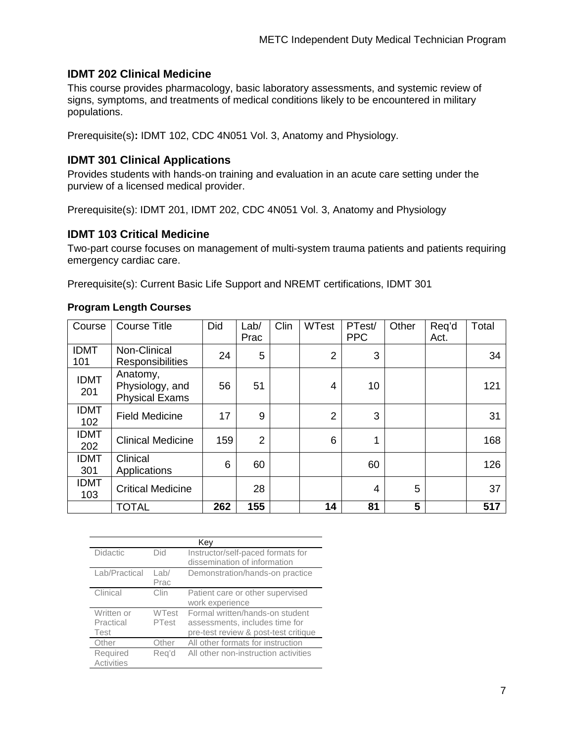### **IDMT 202 Clinical Medicine**

This course provides pharmacology, basic laboratory assessments, and systemic review of signs, symptoms, and treatments of medical conditions likely to be encountered in military populations.

Prerequisite(s)**:** IDMT 102, CDC 4N051 Vol. 3, Anatomy and Physiology.

#### **IDMT 301 Clinical Applications**

Provides students with hands-on training and evaluation in an acute care setting under the purview of a licensed medical provider.

Prerequisite(s): IDMT 201, IDMT 202, CDC 4N051 Vol. 3, Anatomy and Physiology

#### **IDMT 103 Critical Medicine**

Two-part course focuses on management of multi-system trauma patients and patients requiring emergency cardiac care.

Prerequisite(s): Current Basic Life Support and NREMT certifications, IDMT 301

| Course             | <b>Course Title</b>                                  | Did | Lab/<br>Prac   | Clin | <b>WTest</b>   | PTest/<br><b>PPC</b> | Other | Req'd<br>Act. | Total |
|--------------------|------------------------------------------------------|-----|----------------|------|----------------|----------------------|-------|---------------|-------|
| <b>IDMT</b><br>101 | Non-Clinical<br><b>Responsibilities</b>              | 24  | 5              |      | $\overline{2}$ | 3                    |       |               | 34    |
| <b>IDMT</b><br>201 | Anatomy,<br>Physiology, and<br><b>Physical Exams</b> | 56  | 51             |      | 4              | 10                   |       |               | 121   |
| <b>IDMT</b><br>102 | <b>Field Medicine</b>                                | 17  | 9              |      | $\overline{2}$ | 3                    |       |               | 31    |
| <b>IDMT</b><br>202 | <b>Clinical Medicine</b>                             | 159 | $\overline{2}$ |      | 6              | 1                    |       |               | 168   |
| <b>IDMT</b><br>301 | Clinical<br>Applications                             | 6   | 60             |      |                | 60                   |       |               | 126   |
| <b>IDMT</b><br>103 | <b>Critical Medicine</b>                             |     | 28             |      |                | 4                    | 5     |               | 37    |
|                    | <b>TOTAL</b>                                         | 262 | 155            |      | 14             | 81                   | 5     |               | 517   |

#### **Program Length Courses**

|                   | Kev          |                                      |  |  |  |  |  |  |  |
|-------------------|--------------|--------------------------------------|--|--|--|--|--|--|--|
| <b>Didactic</b>   | Did          | Instructor/self-paced formats for    |  |  |  |  |  |  |  |
|                   |              | dissemination of information         |  |  |  |  |  |  |  |
| Lab/Practical     | $L$ ab/      | Demonstration/hands-on practice      |  |  |  |  |  |  |  |
|                   | Prac         |                                      |  |  |  |  |  |  |  |
| Clinical          | Clin         | Patient care or other supervised     |  |  |  |  |  |  |  |
|                   |              | work experience                      |  |  |  |  |  |  |  |
| Written or        | <b>WTest</b> | Formal written/hands-on student      |  |  |  |  |  |  |  |
| Practical         | PTest        | assessments, includes time for       |  |  |  |  |  |  |  |
| Test              |              | pre-test review & post-test critique |  |  |  |  |  |  |  |
| Other             | Other        | All other formats for instruction    |  |  |  |  |  |  |  |
| Required          | Reg'd        | All other non-instruction activities |  |  |  |  |  |  |  |
| <b>Activities</b> |              |                                      |  |  |  |  |  |  |  |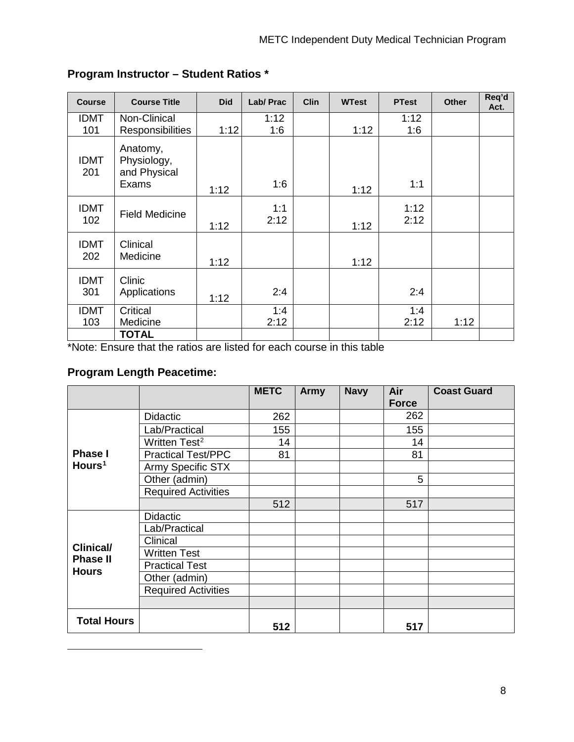| <b>Course</b>      | <b>Course Title</b>                              | <b>Did</b> | Lab/ Prac   | <b>Clin</b> | <b>WTest</b> | <b>PTest</b> | <b>Other</b> | Req'd<br>Act. |
|--------------------|--------------------------------------------------|------------|-------------|-------------|--------------|--------------|--------------|---------------|
| <b>IDMT</b><br>101 | Non-Clinical<br>Responsibilities                 | 1:12       | 1:12<br>1:6 |             | 1:12         | 1:12<br>1:6  |              |               |
| <b>IDMT</b><br>201 | Anatomy,<br>Physiology,<br>and Physical<br>Exams | 1:12       | 1:6         |             | 1:12         | 1:1          |              |               |
| <b>IDMT</b><br>102 | <b>Field Medicine</b>                            | 1:12       | 1:1<br>2:12 |             | 1:12         | 1:12<br>2:12 |              |               |
| <b>IDMT</b><br>202 | Clinical<br>Medicine                             | 1:12       |             |             | 1:12         |              |              |               |
| <b>IDMT</b><br>301 | Clinic<br>Applications                           | 1:12       | 2:4         |             |              | 2:4          |              |               |
| <b>IDMT</b><br>103 | Critical<br>Medicine                             |            | 1:4<br>2:12 |             |              | 1:4<br>2:12  | 1:12         |               |
|                    | <b>TOTAL</b>                                     |            |             |             |              |              |              |               |

## **Program Instructor – Student Ratios \***

\*Note: Ensure that the ratios are listed for each course in this table

## **Program Length Peacetime:**

<span id="page-7-1"></span><span id="page-7-0"></span>-

|                    |                            | <b>METC</b> | Army | <b>Navy</b> | Air<br><b>Force</b> | <b>Coast Guard</b> |
|--------------------|----------------------------|-------------|------|-------------|---------------------|--------------------|
|                    | <b>Didactic</b>            | 262         |      |             | 262                 |                    |
|                    | Lab/Practical              | 155         |      |             | 155                 |                    |
|                    | Written Test <sup>2</sup>  | 14          |      |             | 14                  |                    |
| <b>Phase I</b>     | <b>Practical Test/PPC</b>  | 81          |      |             | 81                  |                    |
| Hours <sup>1</sup> | Army Specific STX          |             |      |             |                     |                    |
|                    | Other (admin)              |             |      |             | 5                   |                    |
|                    | <b>Required Activities</b> |             |      |             |                     |                    |
|                    |                            | 512         |      |             | 517                 |                    |
|                    | <b>Didactic</b>            |             |      |             |                     |                    |
|                    | Lab/Practical              |             |      |             |                     |                    |
| <b>Clinical/</b>   | Clinical                   |             |      |             |                     |                    |
| <b>Phase II</b>    | Written Test               |             |      |             |                     |                    |
| <b>Hours</b>       | <b>Practical Test</b>      |             |      |             |                     |                    |
|                    | Other (admin)              |             |      |             |                     |                    |
|                    | <b>Required Activities</b> |             |      |             |                     |                    |
|                    |                            |             |      |             |                     |                    |
| <b>Total Hours</b> |                            | 512         |      |             | 517                 |                    |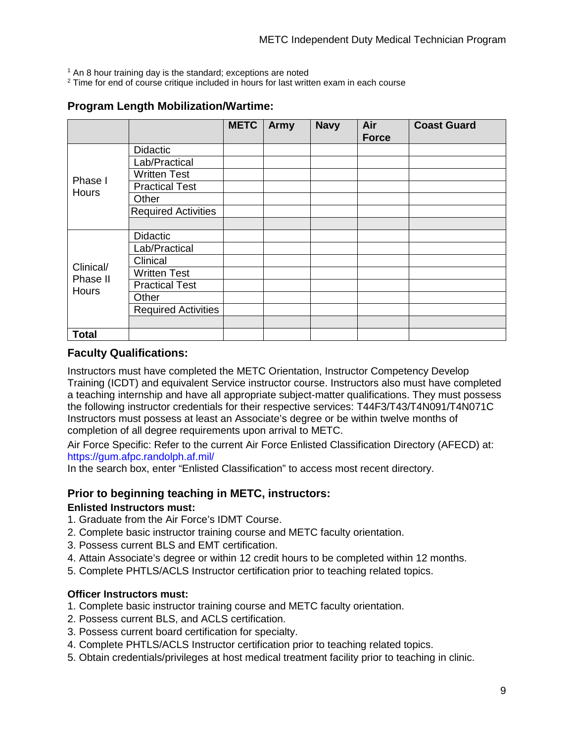$1$  An 8 hour training day is the standard; exceptions are noted

<sup>2</sup> Time for end of course critique included in hours for last written exam in each course

#### **Program Length Mobilization/Wartime:**

|              |                            | <b>METC</b> | Army | <b>Navy</b> | Air<br><b>Force</b> | <b>Coast Guard</b> |
|--------------|----------------------------|-------------|------|-------------|---------------------|--------------------|
|              | <b>Didactic</b>            |             |      |             |                     |                    |
|              | Lab/Practical              |             |      |             |                     |                    |
| Phase I      | <b>Written Test</b>        |             |      |             |                     |                    |
| Hours        | <b>Practical Test</b>      |             |      |             |                     |                    |
|              | Other                      |             |      |             |                     |                    |
|              | <b>Required Activities</b> |             |      |             |                     |                    |
|              |                            |             |      |             |                     |                    |
|              | <b>Didactic</b>            |             |      |             |                     |                    |
|              | Lab/Practical              |             |      |             |                     |                    |
| Clinical/    | Clinical                   |             |      |             |                     |                    |
| Phase II     | <b>Written Test</b>        |             |      |             |                     |                    |
| <b>Hours</b> | <b>Practical Test</b>      |             |      |             |                     |                    |
|              | Other                      |             |      |             |                     |                    |
|              | <b>Required Activities</b> |             |      |             |                     |                    |
|              |                            |             |      |             |                     |                    |
| <b>Total</b> |                            |             |      |             |                     |                    |

#### **Faculty Qualifications:**

Instructors must have completed the METC Orientation, Instructor Competency Develop Training (ICDT) and equivalent Service instructor course. Instructors also must have completed a teaching internship and have all appropriate subject-matter qualifications. They must possess the following instructor credentials for their respective services: T44F3/T43/T4N091/T4N071C Instructors must possess at least an Associate's degree or be within twelve months of completion of all degree requirements upon arrival to METC.

Air Force Specific: Refer to the current Air Force Enlisted Classification Directory (AFECD) at: https://gum.afpc.randolph.af.mil/

In the search box, enter "Enlisted Classification" to access most recent directory.

## **Prior to beginning teaching in METC, instructors:**

#### **Enlisted Instructors must:**

- 1. Graduate from the Air Force's IDMT Course.
- 2. Complete basic instructor training course and METC faculty orientation.
- 3. Possess current BLS and EMT certification.
- 4. Attain Associate's degree or within 12 credit hours to be completed within 12 months.
- 5. Complete PHTLS/ACLS Instructor certification prior to teaching related topics.

#### **Officer Instructors must:**

- 1. Complete basic instructor training course and METC faculty orientation.
- 2. Possess current BLS, and ACLS certification.
- 3. Possess current board certification for specialty.
- 4. Complete PHTLS/ACLS Instructor certification prior to teaching related topics.
- 5. Obtain credentials/privileges at host medical treatment facility prior to teaching in clinic.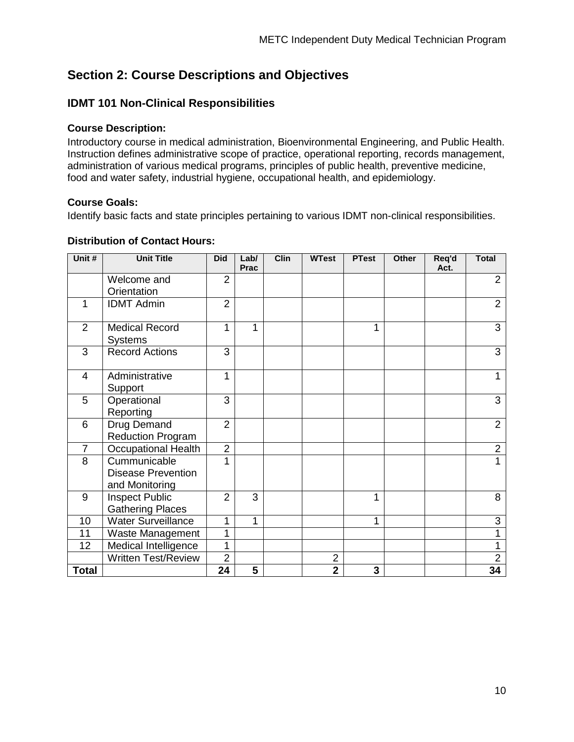## **Section 2: Course Descriptions and Objectives**

#### **IDMT 101 Non-Clinical Responsibilities**

#### **Course Description:**

Introductory course in medical administration, Bioenvironmental Engineering, and Public Health. Instruction defines administrative scope of practice, operational reporting, records management, administration of various medical programs, principles of public health, preventive medicine, food and water safety, industrial hygiene, occupational health, and epidemiology.

#### **Course Goals:**

Identify basic facts and state principles pertaining to various IDMT non-clinical responsibilities.

#### **Distribution of Contact Hours:**

| Unit#           | <b>Unit Title</b>          | <b>Did</b>     | Lab/<br>Prac | <b>Clin</b> | <b>WTest</b>   | <b>PTest</b> | <b>Other</b> | Req'd<br>Act. | <b>Total</b>   |
|-----------------|----------------------------|----------------|--------------|-------------|----------------|--------------|--------------|---------------|----------------|
|                 | Welcome and                | $\overline{2}$ |              |             |                |              |              |               | $\overline{2}$ |
|                 | Orientation                |                |              |             |                |              |              |               |                |
| 1               | <b>IDMT Admin</b>          | $\overline{2}$ |              |             |                |              |              |               | $\overline{2}$ |
| 2               | <b>Medical Record</b>      | 1              | 1            |             |                | 1            |              |               | 3              |
|                 | <b>Systems</b>             |                |              |             |                |              |              |               |                |
| 3               | <b>Record Actions</b>      | 3              |              |             |                |              |              |               | 3              |
| $\overline{4}$  | Administrative             | 1              |              |             |                |              |              |               | 1              |
|                 | Support                    |                |              |             |                |              |              |               |                |
| 5               | Operational                | 3              |              |             |                |              |              |               | 3              |
|                 | Reporting                  |                |              |             |                |              |              |               |                |
| $6\phantom{1}6$ | Drug Demand                | $\overline{2}$ |              |             |                |              |              |               | $\overline{2}$ |
|                 | <b>Reduction Program</b>   |                |              |             |                |              |              |               |                |
| $\overline{7}$  | <b>Occupational Health</b> | $\overline{2}$ |              |             |                |              |              |               | $\overline{2}$ |
| 8               | Cummunicable               | 1              |              |             |                |              |              |               |                |
|                 | <b>Disease Prevention</b>  |                |              |             |                |              |              |               |                |
|                 | and Monitoring             |                |              |             |                |              |              |               |                |
| 9               | <b>Inspect Public</b>      | $\overline{2}$ | 3            |             |                | 1            |              |               | 8              |
|                 | <b>Gathering Places</b>    |                |              |             |                |              |              |               |                |
| 10              | <b>Water Surveillance</b>  | 1              | 1            |             |                | 1            |              |               | 3              |
| 11              | Waste Management           | 1              |              |             |                |              |              |               | 1              |
| 12              | Medical Intelligence       | 1              |              |             |                |              |              |               | 1              |
|                 | <b>Written Test/Review</b> | $\overline{2}$ |              |             | $\overline{2}$ |              |              |               | $\overline{2}$ |
| <b>Total</b>    |                            | 24             | 5            |             | $\overline{2}$ | 3            |              |               | 34             |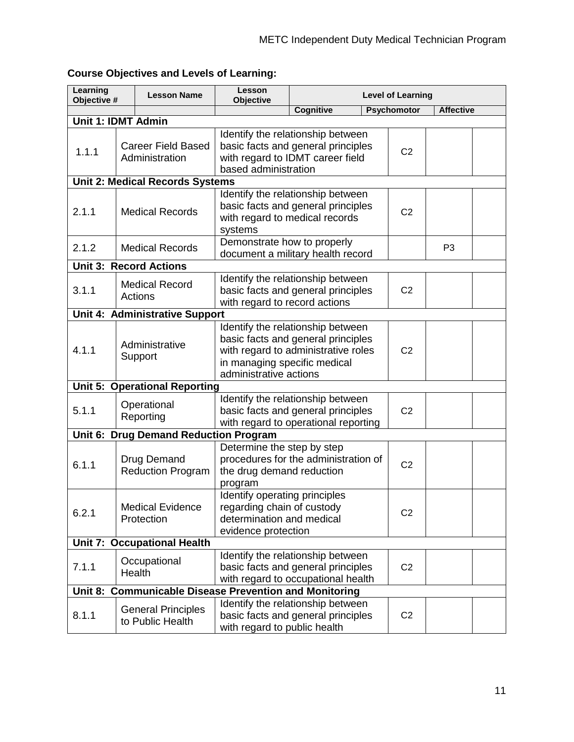| Learning<br>Objective #   | <b>Lesson Name</b>                                     | Lesson<br><b>Objective</b>                                                                                      |                                                                                                                                                |  | <b>Level of Learning</b> |                  |  |
|---------------------------|--------------------------------------------------------|-----------------------------------------------------------------------------------------------------------------|------------------------------------------------------------------------------------------------------------------------------------------------|--|--------------------------|------------------|--|
|                           |                                                        |                                                                                                                 | <b>Cognitive</b>                                                                                                                               |  | <b>Psychomotor</b>       | <b>Affective</b> |  |
| <b>Unit 1: IDMT Admin</b> |                                                        |                                                                                                                 |                                                                                                                                                |  |                          |                  |  |
| 1.1.1                     | <b>Career Field Based</b><br>Administration            | based administration                                                                                            | Identify the relationship between<br>basic facts and general principles<br>with regard to IDMT career field                                    |  | C <sub>2</sub>           |                  |  |
|                           | <b>Unit 2: Medical Records Systems</b>                 |                                                                                                                 |                                                                                                                                                |  |                          |                  |  |
| 2.1.1                     | <b>Medical Records</b>                                 | systems                                                                                                         | Identify the relationship between<br>basic facts and general principles<br>with regard to medical records                                      |  |                          |                  |  |
| 2.1.2                     | <b>Medical Records</b>                                 | Demonstrate how to properly                                                                                     | document a military health record                                                                                                              |  |                          | P <sub>3</sub>   |  |
|                           | <b>Unit 3: Record Actions</b>                          |                                                                                                                 |                                                                                                                                                |  |                          |                  |  |
| 3.1.1                     | <b>Medical Record</b><br>Actions                       | with regard to record actions                                                                                   | Identify the relationship between<br>basic facts and general principles                                                                        |  | C <sub>2</sub>           |                  |  |
|                           | Unit 4: Administrative Support                         |                                                                                                                 |                                                                                                                                                |  |                          |                  |  |
| 4.1.1                     | Administrative<br>Support                              | administrative actions                                                                                          | Identify the relationship between<br>basic facts and general principles<br>with regard to administrative roles<br>in managing specific medical |  |                          |                  |  |
|                           | <b>Unit 5: Operational Reporting</b>                   |                                                                                                                 |                                                                                                                                                |  |                          |                  |  |
| 5.1.1                     | Operational<br>Reporting                               |                                                                                                                 | Identify the relationship between<br>basic facts and general principles<br>with regard to operational reporting                                |  | C <sub>2</sub>           |                  |  |
|                           | Unit 6: Drug Demand Reduction Program                  |                                                                                                                 |                                                                                                                                                |  |                          |                  |  |
| 6.1.1                     | Drug Demand<br><b>Reduction Program</b>                | Determine the step by step<br>the drug demand reduction<br>program                                              | procedures for the administration of                                                                                                           |  | C <sub>2</sub>           |                  |  |
| 6.2.1                     | <b>Medical Evidence</b><br>Protection                  | Identify operating principles<br>regarding chain of custody<br>determination and medical<br>evidence protection |                                                                                                                                                |  | C <sub>2</sub>           |                  |  |
|                           | <b>Unit 7: Occupational Health</b>                     |                                                                                                                 |                                                                                                                                                |  |                          |                  |  |
| 7.1.1                     | Occupational<br>Health                                 |                                                                                                                 | Identify the relationship between<br>basic facts and general principles<br>with regard to occupational health                                  |  | C <sub>2</sub>           |                  |  |
|                           | Unit 8: Communicable Disease Prevention and Monitoring |                                                                                                                 |                                                                                                                                                |  |                          |                  |  |
| 8.1.1                     | <b>General Principles</b><br>to Public Health          | with regard to public health                                                                                    | Identify the relationship between<br>basic facts and general principles                                                                        |  | C <sub>2</sub>           |                  |  |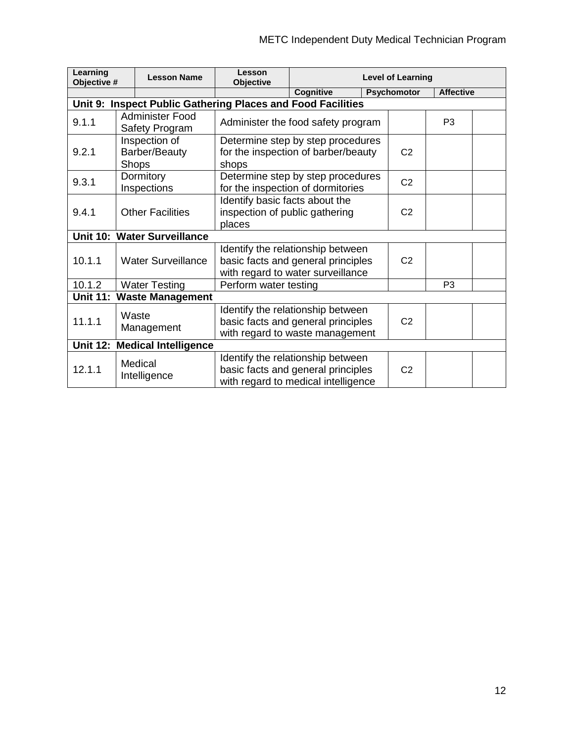| Learning<br>Objective #                                     |       | <b>Lesson Name</b>                             | Lesson<br><b>Objective</b>                                                        |                                                                                                                |                | <b>Level of Learning</b> |                  |  |
|-------------------------------------------------------------|-------|------------------------------------------------|-----------------------------------------------------------------------------------|----------------------------------------------------------------------------------------------------------------|----------------|--------------------------|------------------|--|
|                                                             |       |                                                |                                                                                   | <b>Cognitive</b>                                                                                               |                | Psychomotor              | <b>Affective</b> |  |
| Unit 9: Inspect Public Gathering Places and Food Facilities |       |                                                |                                                                                   |                                                                                                                |                |                          |                  |  |
| 9.1.1                                                       |       | Administer Food<br>Safety Program              |                                                                                   | Administer the food safety program                                                                             |                |                          | P <sub>3</sub>   |  |
| 9.2.1                                                       |       | Inspection of<br>Barber/Beauty<br><b>Shops</b> | Determine step by step procedures<br>for the inspection of barber/beauty<br>shops | C <sub>2</sub>                                                                                                 |                |                          |                  |  |
| 9.3.1                                                       |       | Dormitory<br>Inspections                       |                                                                                   | Determine step by step procedures<br>for the inspection of dormitories                                         |                | C <sub>2</sub>           |                  |  |
| 9.4.1                                                       |       | <b>Other Facilities</b>                        | Identify basic facts about the<br>inspection of public gathering<br>places        |                                                                                                                | C <sub>2</sub> |                          |                  |  |
| <b>Unit 10:</b>                                             |       | <b>Water Surveillance</b>                      |                                                                                   |                                                                                                                |                |                          |                  |  |
| 10.1.1                                                      |       | <b>Water Surveillance</b>                      |                                                                                   | Identify the relationship between<br>basic facts and general principles<br>with regard to water surveillance   |                | C <sub>2</sub>           |                  |  |
| 10.1.2                                                      |       | <b>Water Testing</b>                           | Perform water testing                                                             |                                                                                                                |                |                          | P <sub>3</sub>   |  |
| <b>Unit 11:</b>                                             |       | <b>Waste Management</b>                        |                                                                                   |                                                                                                                |                |                          |                  |  |
| 11.1.1                                                      | Waste | Management                                     |                                                                                   | Identify the relationship between<br>basic facts and general principles<br>with regard to waste management     |                | C <sub>2</sub>           |                  |  |
| <b>Unit 12:</b>                                             |       | <b>Medical Intelligence</b>                    |                                                                                   |                                                                                                                |                |                          |                  |  |
| 12.1.1                                                      |       | Medical<br>Intelligence                        |                                                                                   | Identify the relationship between<br>basic facts and general principles<br>with regard to medical intelligence |                | C <sub>2</sub>           |                  |  |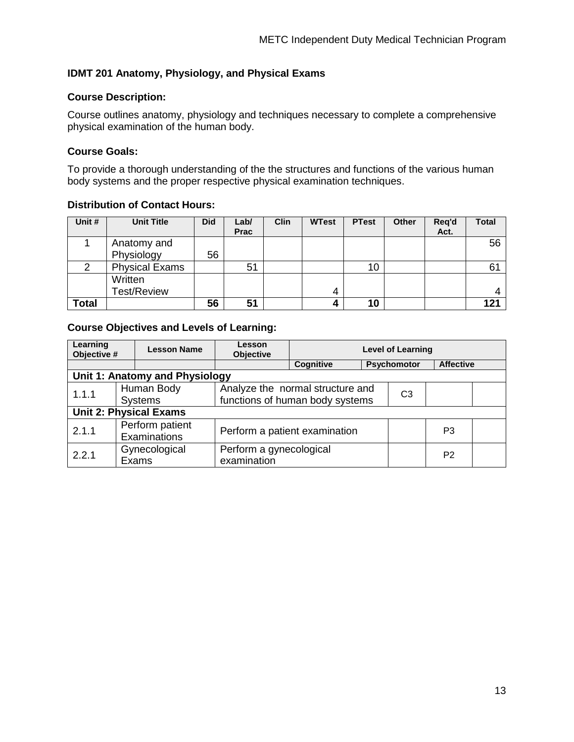#### **IDMT 201 Anatomy, Physiology, and Physical Exams**

#### **Course Description:**

Course outlines anatomy, physiology and techniques necessary to complete a comprehensive physical examination of the human body.

#### **Course Goals:**

To provide a thorough understanding of the the structures and functions of the various human body systems and the proper respective physical examination techniques.

#### **Distribution of Contact Hours:**

| Unit #       | <b>Unit Title</b>             | <b>Did</b> | Lab/<br><b>Prac</b> | <b>Clin</b> | <b>WTest</b> | <b>PTest</b> | <b>Other</b> | Reg'd<br>Act. | Total |
|--------------|-------------------------------|------------|---------------------|-------------|--------------|--------------|--------------|---------------|-------|
|              | Anatomy and<br>Physiology     | 56         |                     |             |              |              |              |               | 56    |
|              | <b>Physical Exams</b>         |            | 51                  |             |              | 10           |              |               | 61    |
|              | Written<br><b>Test/Review</b> |            |                     |             | 4            |              |              |               |       |
| <b>Total</b> |                               | 56         | 51                  |             |              | 10           |              |               | 121   |

| Learning                       | Lesson<br><b>Lesson Name</b><br>Objective #<br><b>Objective</b> |             |                                  |  | <b>Level of Learning</b> |                  |  |
|--------------------------------|-----------------------------------------------------------------|-------------|----------------------------------|--|--------------------------|------------------|--|
|                                |                                                                 |             | Cognitive                        |  | <b>Psychomotor</b>       | <b>Affective</b> |  |
| Unit 1: Anatomy and Physiology |                                                                 |             |                                  |  |                          |                  |  |
| 1.1.1                          | Human Body                                                      |             | Analyze the normal structure and |  |                          |                  |  |
|                                | functions of human body systems<br><b>Systems</b>               |             |                                  |  | C <sub>3</sub>           |                  |  |
|                                | <b>Unit 2: Physical Exams</b>                                   |             |                                  |  |                          |                  |  |
| 2.1.1                          | Perform patient<br>Examinations                                 |             | Perform a patient examination    |  |                          | P3               |  |
| 2.2.1                          | Gynecological                                                   |             | Perform a gynecological          |  |                          |                  |  |
|                                | Exams                                                           | examination |                                  |  |                          | P <sub>2</sub>   |  |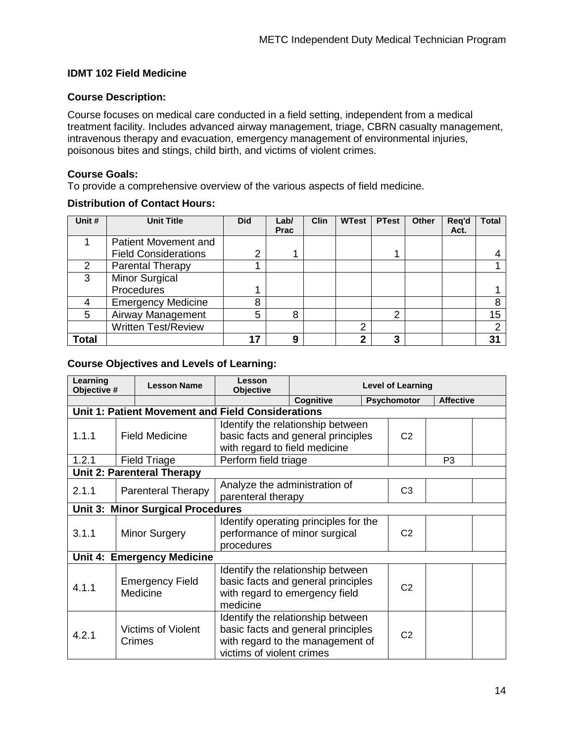#### **IDMT 102 Field Medicine**

#### **Course Description:**

Course focuses on medical care conducted in a field setting, independent from a medical treatment facility. Includes advanced airway management, triage, CBRN casualty management, intravenous therapy and evacuation, emergency management of environmental injuries, poisonous bites and stings, child birth, and victims of violent crimes.

#### **Course Goals:**

To provide a comprehensive overview of the various aspects of field medicine.

#### **Distribution of Contact Hours:**

| Unit # | <b>Unit Title</b>           | <b>Did</b> | Lab/<br><b>Prac</b> | <b>Clin</b> | <b>WTest</b> | <b>PTest</b>   | Other | Reg'd<br>Act. | Total |
|--------|-----------------------------|------------|---------------------|-------------|--------------|----------------|-------|---------------|-------|
|        | <b>Patient Movement and</b> |            |                     |             |              |                |       |               |       |
|        | <b>Field Considerations</b> | 2          |                     |             |              | 1.             |       |               |       |
| 2      | <b>Parental Therapy</b>     |            |                     |             |              |                |       |               |       |
| 3      | <b>Minor Surgical</b>       |            |                     |             |              |                |       |               |       |
|        | Procedures                  |            |                     |             |              |                |       |               |       |
|        | <b>Emergency Medicine</b>   | 8          |                     |             |              |                |       |               | 8     |
| 5      | Airway Management           | 5          | 8                   |             |              | $\overline{2}$ |       |               | 15    |
|        | <b>Written Test/Review</b>  |            |                     |             | 2            |                |       |               | ⌒     |
| Total  |                             | 17         | 9                   |             | $\mathbf{2}$ | 3              |       |               | 31    |

| Learning<br>Objective # | <b>Lesson Name</b>                                | Lesson<br><b>Objective</b>               |                                       |  | <b>Level of Learning</b> |                  |  |
|-------------------------|---------------------------------------------------|------------------------------------------|---------------------------------------|--|--------------------------|------------------|--|
|                         |                                                   |                                          | Cognitive                             |  | Psychomotor              | <b>Affective</b> |  |
|                         | Unit 1: Patient Movement and Field Considerations |                                          |                                       |  |                          |                  |  |
|                         |                                                   |                                          | Identify the relationship between     |  |                          |                  |  |
| 1.1.1                   | <b>Field Medicine</b>                             |                                          | basic facts and general principles    |  |                          |                  |  |
|                         |                                                   | with regard to field medicine            |                                       |  |                          |                  |  |
| 1.2.1                   | <b>Field Triage</b>                               | Perform field triage                     |                                       |  |                          | P <sub>3</sub>   |  |
|                         | <b>Unit 2: Parenteral Therapy</b>                 |                                          |                                       |  |                          |                  |  |
|                         |                                                   | Analyze the administration of            |                                       |  |                          |                  |  |
| 2.1.1                   | <b>Parenteral Therapy</b>                         | parenteral therapy                       |                                       |  | C <sub>3</sub>           |                  |  |
|                         |                                                   | <b>Unit 3: Minor Surgical Procedures</b> |                                       |  |                          |                  |  |
|                         |                                                   |                                          | Identify operating principles for the |  |                          |                  |  |
| 3.1.1                   | <b>Minor Surgery</b>                              | performance of minor surgical            |                                       |  | C <sub>2</sub>           |                  |  |
|                         |                                                   | procedures                               |                                       |  |                          |                  |  |
|                         | <b>Unit 4: Emergency Medicine</b>                 |                                          |                                       |  |                          |                  |  |
|                         |                                                   |                                          | Identify the relationship between     |  |                          |                  |  |
|                         | <b>Emergency Field</b>                            |                                          | basic facts and general principles    |  |                          |                  |  |
| 4.1.1                   | Medicine                                          |                                          | with regard to emergency field        |  | C <sub>2</sub>           |                  |  |
|                         |                                                   | medicine                                 |                                       |  |                          |                  |  |
|                         |                                                   |                                          | Identify the relationship between     |  |                          |                  |  |
| 4.2.1                   | <b>Victims of Violent</b>                         |                                          | basic facts and general principles    |  | C <sub>2</sub>           |                  |  |
|                         | Crimes                                            |                                          | with regard to the management of      |  |                          |                  |  |
|                         |                                                   | victims of violent crimes                |                                       |  |                          |                  |  |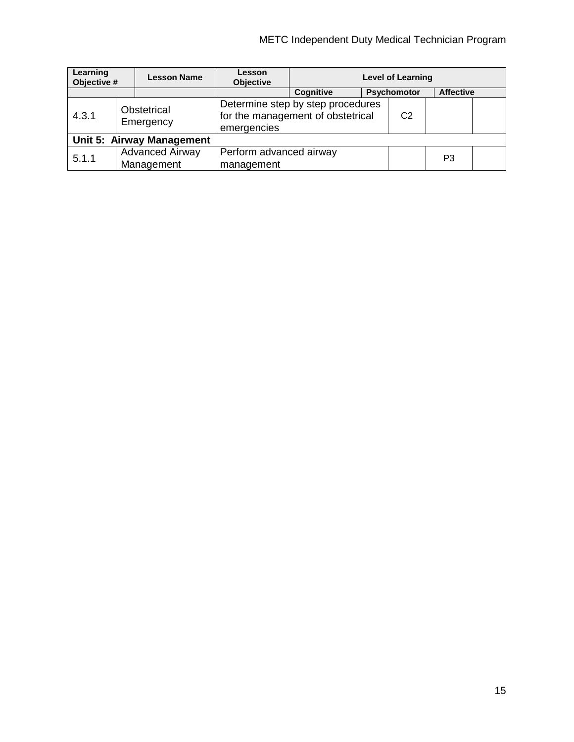| Learning<br>Objective # |  | <b>Lesson Name</b>                   | Lesson<br><b>Objective</b>            |                                                                        |                  | <b>Level of Learning</b> |    |  |
|-------------------------|--|--------------------------------------|---------------------------------------|------------------------------------------------------------------------|------------------|--------------------------|----|--|
|                         |  |                                      | <b>Cognitive</b>                      | Psychomotor                                                            | <b>Affective</b> |                          |    |  |
| 4.3.1                   |  | Obstetrical<br>Emergency             | emergencies                           | Determine step by step procedures<br>for the management of obstetrical |                  | C <sub>2</sub>           |    |  |
|                         |  | Unit 5: Airway Management            |                                       |                                                                        |                  |                          |    |  |
| 5.1.1                   |  | <b>Advanced Airway</b><br>Management | Perform advanced airway<br>management |                                                                        |                  |                          | P3 |  |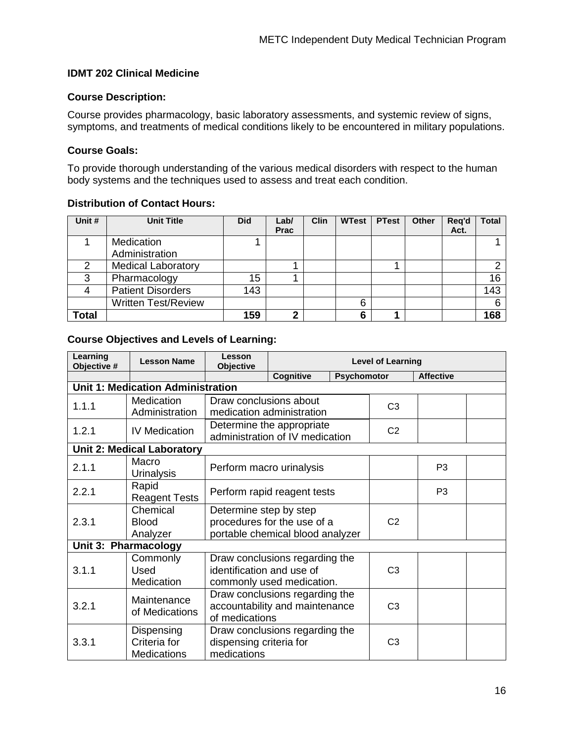#### **IDMT 202 Clinical Medicine**

#### **Course Description:**

Course provides pharmacology, basic laboratory assessments, and systemic review of signs, symptoms, and treatments of medical conditions likely to be encountered in military populations.

#### **Course Goals:**

To provide thorough understanding of the various medical disorders with respect to the human body systems and the techniques used to assess and treat each condition.

#### **Distribution of Contact Hours:**

| Unit #       | <b>Unit Title</b>            | <b>Did</b> | Lab/<br><b>Prac</b> | Clin | <b>WTest</b> | <b>PTest</b> | Other | Reg'd<br>Act. | <b>Total</b> |
|--------------|------------------------------|------------|---------------------|------|--------------|--------------|-------|---------------|--------------|
|              | Medication<br>Administration |            |                     |      |              |              |       |               |              |
| 2            | <b>Medical Laboratory</b>    |            |                     |      |              |              |       |               | ⌒            |
| 3            | Pharmacology                 | 15         |                     |      |              |              |       |               | 16           |
|              | <b>Patient Disorders</b>     | 143        |                     |      |              |              |       |               | 143          |
|              | <b>Written Test/Review</b>   |            |                     |      | 6            |              |       |               | 6            |
| <b>Total</b> |                              | 159        | c                   |      | 6            |              |       |               | 168          |

| Learning<br>Objective # | <b>Lesson Name</b>                           | Lesson<br><b>Objective</b> | <b>Level of Learning</b>                                     |                    |                |                  |  |  |
|-------------------------|----------------------------------------------|----------------------------|--------------------------------------------------------------|--------------------|----------------|------------------|--|--|
|                         |                                              |                            | Cognitive                                                    | <b>Psychomotor</b> |                | <b>Affective</b> |  |  |
|                         | <b>Unit 1: Medication Administration</b>     |                            |                                                              |                    |                |                  |  |  |
| 1.1.1                   | Medication                                   | Draw conclusions about     |                                                              |                    | C <sub>3</sub> |                  |  |  |
|                         | Administration                               |                            | medication administration                                    |                    |                |                  |  |  |
| 1.2.1                   | <b>IV Medication</b>                         |                            | Determine the appropriate<br>administration of IV medication | C <sub>2</sub>     |                |                  |  |  |
|                         | <b>Unit 2: Medical Laboratory</b>            |                            |                                                              |                    |                |                  |  |  |
| 2.1.1                   | Macro<br><b>Urinalysis</b>                   |                            | Perform macro urinalysis                                     |                    | P <sub>3</sub> |                  |  |  |
| 2.2.1                   | Rapid<br><b>Reagent Tests</b>                |                            | Perform rapid reagent tests                                  |                    | P <sub>3</sub> |                  |  |  |
|                         | Chemical                                     | Determine step by step     |                                                              |                    |                |                  |  |  |
| 2.3.1                   | <b>Blood</b>                                 |                            | procedures for the use of a                                  |                    | C <sub>2</sub> |                  |  |  |
|                         | Analyzer                                     |                            | portable chemical blood analyzer                             |                    |                |                  |  |  |
|                         | Unit 3: Pharmacology                         |                            |                                                              |                    |                |                  |  |  |
|                         | Commonly                                     |                            | Draw conclusions regarding the                               |                    |                |                  |  |  |
| 3.1.1                   | Used                                         | identification and use of  |                                                              |                    | C <sub>3</sub> |                  |  |  |
|                         | Medication                                   |                            | commonly used medication.                                    |                    |                |                  |  |  |
|                         | Maintenance                                  |                            | Draw conclusions regarding the                               |                    |                |                  |  |  |
| 3.2.1                   | of Medications                               |                            | accountability and maintenance                               |                    | C <sub>3</sub> |                  |  |  |
|                         |                                              | of medications             |                                                              |                    |                |                  |  |  |
|                         | Dispensing<br>Draw conclusions regarding the |                            |                                                              |                    |                |                  |  |  |
| 3.3.1                   | Criteria for                                 | dispensing criteria for    |                                                              |                    | C <sub>3</sub> |                  |  |  |
|                         | <b>Medications</b>                           | medications                |                                                              |                    |                |                  |  |  |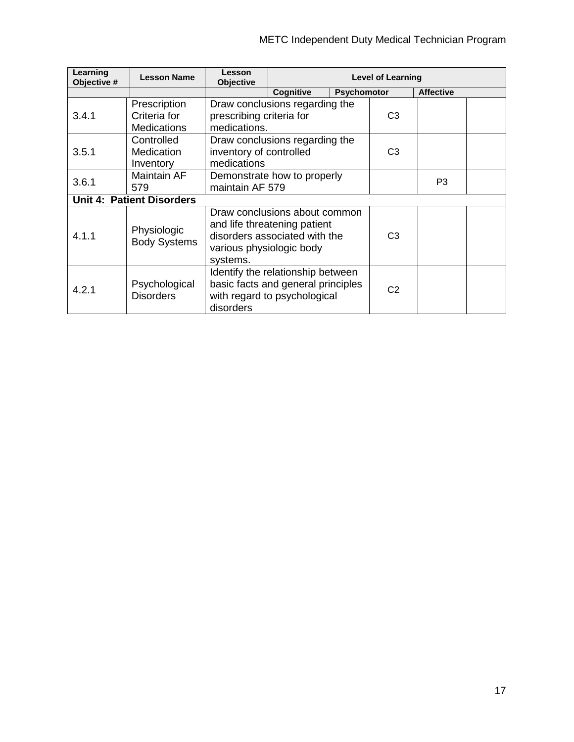| Learning<br>Objective # | <b>Lesson Name</b>                                 | Lesson<br><b>Objective</b>               |                                                                                                         |                    | <b>Level of Learning</b> |                  |  |
|-------------------------|----------------------------------------------------|------------------------------------------|---------------------------------------------------------------------------------------------------------|--------------------|--------------------------|------------------|--|
|                         |                                                    |                                          | Cognitive                                                                                               | <b>Psychomotor</b> |                          | <b>Affective</b> |  |
| 3.4.1                   | Prescription<br>Criteria for<br><b>Medications</b> | prescribing criteria for<br>medications. | Draw conclusions regarding the                                                                          | C <sub>3</sub>     |                          |                  |  |
| 3.5.1                   | Controlled<br>Medication<br>Inventory              | inventory of controlled<br>medications   | Draw conclusions regarding the                                                                          | C <sub>3</sub>     |                          |                  |  |
| 3.6.1                   | Maintain AF<br>579                                 | maintain AF 579                          | Demonstrate how to properly                                                                             |                    | P3                       |                  |  |
|                         | <b>Unit 4: Patient Disorders</b>                   |                                          |                                                                                                         |                    |                          |                  |  |
| 4.1.1                   | Physiologic<br><b>Body Systems</b>                 | various physiologic body<br>systems.     | Draw conclusions about common<br>and life threatening patient<br>disorders associated with the          |                    | C <sub>3</sub>           |                  |  |
| 4.2.1                   | Psychological<br><b>Disorders</b>                  | disorders                                | Identify the relationship between<br>basic facts and general principles<br>with regard to psychological |                    | C <sub>2</sub>           |                  |  |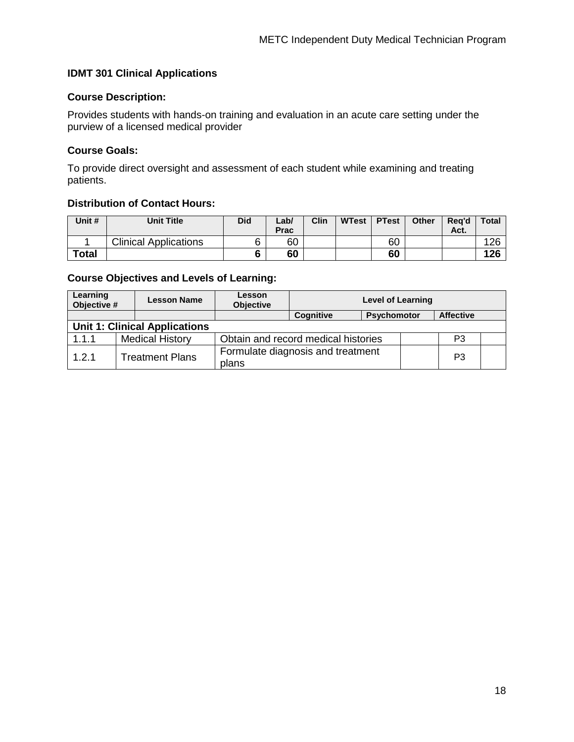#### **IDMT 301 Clinical Applications**

#### **Course Description:**

Provides students with hands-on training and evaluation in an acute care setting under the purview of a licensed medical provider

#### **Course Goals:**

To provide direct oversight and assessment of each student while examining and treating patients.

#### **Distribution of Contact Hours:**

| Unit #       | <b>Unit Title</b>            | Did    | Lab/<br>Prac | Clin | <b>WTest</b> | <b>PTest</b> | <b>Other</b> | Rea'd<br>Act. | <b>Total</b> |
|--------------|------------------------------|--------|--------------|------|--------------|--------------|--------------|---------------|--------------|
|              | <b>Clinical Applications</b> | 6      | 60           |      |              | 60           |              |               | 126          |
| <b>Total</b> |                              | c<br>O | 60           |      |              | 60           |              |               | 126          |

| Learning<br>Objective #              | <b>Lesson Name</b>     |  | <b>Lesson</b><br><b>Objective</b> |                                                            | <b>Level of Learning</b> |  |  |  |  |
|--------------------------------------|------------------------|--|-----------------------------------|------------------------------------------------------------|--------------------------|--|--|--|--|
|                                      |                        |  |                                   | <b>Cognitive</b><br><b>Affective</b><br><b>Psychomotor</b> |                          |  |  |  |  |
| <b>Unit 1: Clinical Applications</b> |                        |  |                                   |                                                            |                          |  |  |  |  |
| 1.1.1                                | <b>Medical History</b> |  |                                   | Obtain and record medical histories<br>P3                  |                          |  |  |  |  |
| 1.2.1                                | <b>Treatment Plans</b> |  | plans                             | Formulate diagnosis and treatment                          |                          |  |  |  |  |